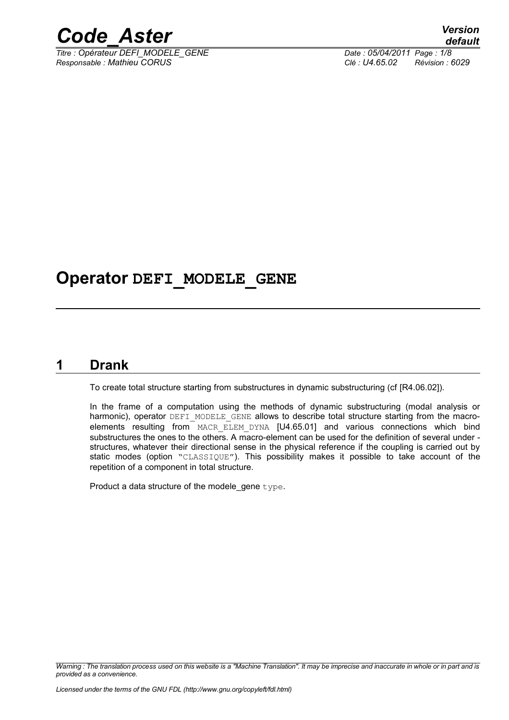

*Titre : Opérateur DEFI\_MODELE\_GENE Date : 05/04/2011 Page : 1/8 Responsable : Mathieu CORUS Clé : U4.65.02 Révision : 6029*

# **Operator DEFI\_MODELE\_GENE**

### **1 Drank**

<span id="page-0-0"></span>To create total structure starting from substructures in dynamic substructuring (cf [R4.06.02]).

In the frame of a computation using the methods of dynamic substructuring (modal analysis or harmonic), operator DEFI\_MODELE\_GENE allows to describe total structure starting from the macroelements resulting from MACR\_ELEM\_DYNA [U4.65.01] and various connections which bind substructures the ones to the others. A macro-element can be used for the definition of several under structures, whatever their directional sense in the physical reference if the coupling is carried out by static modes (option "CLASSIQUE"). This possibility makes it possible to take account of the repetition of a component in total structure.

Product a data structure of the modele gene type.

*Warning : The translation process used on this website is a "Machine Translation". It may be imprecise and inaccurate in whole or in part and is provided as a convenience.*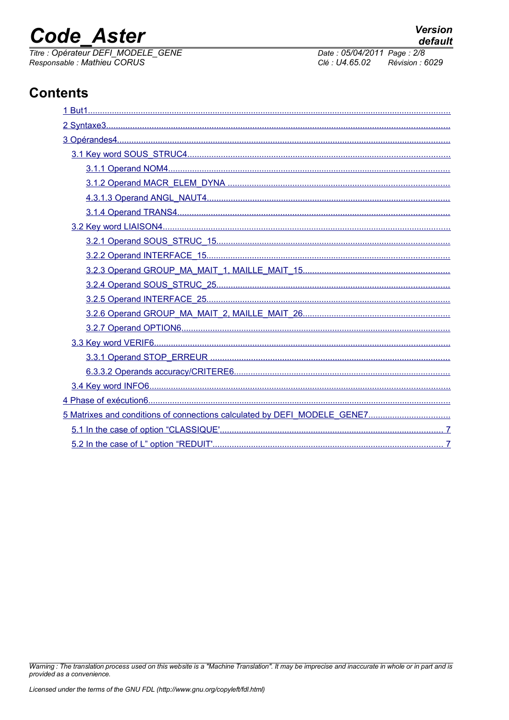# **Code Aster**

Titre : Opérateur DEFI\_MODELE\_GENE Responsable : Mathieu CORUS

Date: 05/04/2011 Page: 2/8 Clé : U4.65.02 Révision : 6029

# **Contents**

Warning : The translation process used on this website is a "Machine Translation". It may be imprecise and inaccurate in whole or in part and is provided as a convenience.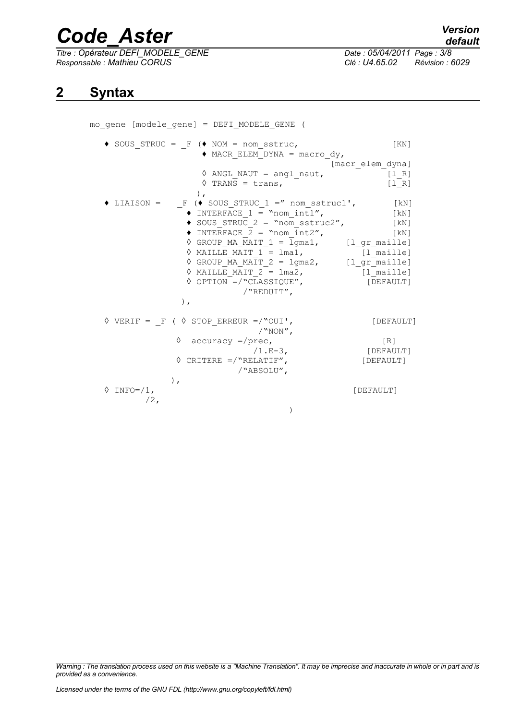*Titre : Opérateur DEFI\_MODELE\_GENE Date : 05/04/2011 Page : 3/8 Responsable : Mathieu CORUS Clé : U4.65.02 Révision : 6029*

## <span id="page-2-0"></span>**2 Syntax**

mo\_gene [modele\_gene] = DEFI\_MODELE\_GENE (

 $\triangleleft$  SOUS\_STRUC =  $_F$  ( $\triangleleft$  NOM = nom\_sstruc, [KN]  $\triangleleft$  MACR ELEM DYNA = macro dy, [macr\_elem\_dyna]  $\Diamond$  ANGL NAUT = angl naut,  $[1 R]$  $\sqrt{TRANS} = trans,$  [IR] ),  $\triangle$  LIAISON =  $F (\triangleleft$  SOUS STRUC 1 =" nom sstruc1', [kN]  $\bullet$  INTERFACE  $1 =$  "nom\_int1", [kN]  $\triangle$  SOUS STRUC 2 = "nom\_sstruc2", [kN]  $\triangle$  INTERFACE  $\overline{2}$  = "nom  $\overline{1}$ nt2", [kN]  $\sqrt[3]{}$  GROUP MA MAIT 1 = lgma1, [l gr maille]  $\Diamond$  MAILLE MAIT  $1 =$  lma1, [l\_maille]  $\sqrt[6]{$  GROUP MA MAIT 2 = lgma2, [l\_gr\_maille]  $\sqrt{M}\text{MAILE}$  MAIT  $2 = \text{Im}2$ ,  $[1\text{Im}1]$  $\Diamond$  OPTION =/"CLASSIQUE", [DEFAULT] /"REDUIT", ),  $\Diamond$  VERIF = F (  $\Diamond$  STOP ERREUR =/"OUI', [DEFAULT] /"NON", ◊ accuracy =/prec, [R] /1.E-3, [DEFAULT] ◊ CRITERE =/"RELATIF", [DEFAULT] /"ABSOLU",  $\Diamond$  TNFO=/1. [DEFAULT] /2, )

*Warning : The translation process used on this website is a "Machine Translation". It may be imprecise and inaccurate in whole or in part and is provided as a convenience.*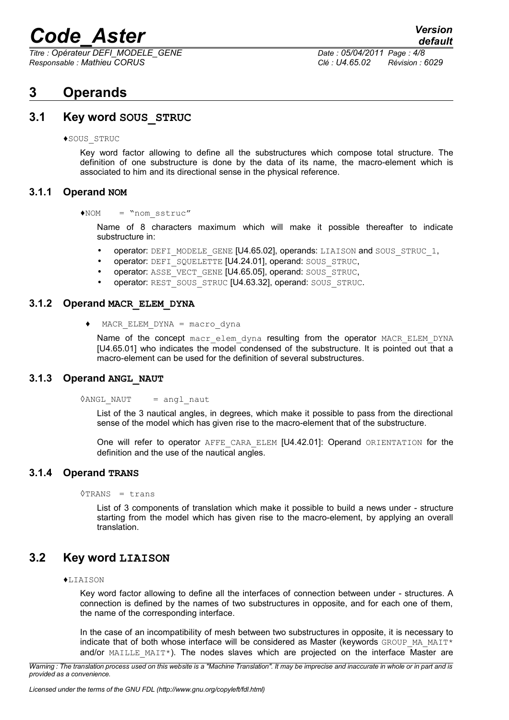*Titre : Opérateur DEFI\_MODELE\_GENE Date : 05/04/2011 Page : 4/8 Responsable : Mathieu CORUS Clé : U4.65.02 Révision : 6029*

## <span id="page-3-6"></span>**3 Operands**

### **3.1 Key word SOUS\_STRUC**

<span id="page-3-5"></span>♦SOUS\_STRUC

Key word factor allowing to define all the substructures which compose total structure. The definition of one substructure is done by the data of its name, the macro-element which is associated to him and its directional sense in the physical reference.

#### **3.1.1 Operand NOM**

<span id="page-3-4"></span>♦NOM = "nom\_sstruc"

Name of 8 characters maximum which will make it possible thereafter to indicate substructure in:

- operator: DEFI\_MODELE\_GENE [U4.65.02], operands: LIAISON and SOUS\_STRUC\_1,
- operator: DEFI\_SQUELETTE [U4.24.01], operand: SOUS\_STRUC,
- operator: ASSE\_VECT\_GENE [U4.65.05], operand: SOUS\_STRUC,
- operator: REST\_SOUS\_STRUC [U4.63.32], operand: SOUS\_STRUC.

#### **3.1.2 Operand MACR\_ELEM\_DYNA**

<span id="page-3-3"></span>♦ MACR\_ELEM\_DYNA = macro\_dyna

Name of the concept macr elem dyna resulting from the operator MACR ELEM DYNA [U4.65.01] who indicates the model condensed of the substructure. It is pointed out that a macro-element can be used for the definition of several substructures.

#### **3.1.3 Operand ANGL\_NAUT**

<span id="page-3-2"></span> $\Diamond$ ANGL NAUT = angl naut

List of the 3 nautical angles, in degrees, which make it possible to pass from the directional sense of the model which has given rise to the macro-element that of the substructure.

One will refer to operator AFFE CARA ELEM [U4.42.01]: Operand ORIENTATION for the definition and the use of the nautical angles.

#### **3.1.4 Operand TRANS**

<span id="page-3-1"></span> $\lor$ TRANS = trans

List of 3 components of translation which make it possible to build a news under - structure starting from the model which has given rise to the macro-element, by applying an overall translation.

### **3.2 Key word LIAISON**

#### <span id="page-3-0"></span> $\blacklozenge$ LIAISON

Key word factor allowing to define all the interfaces of connection between under - structures. A connection is defined by the names of two substructures in opposite, and for each one of them, the name of the corresponding interface.

In the case of an incompatibility of mesh between two substructures in opposite, it is necessary to indicate that of both whose interface will be considered as Master (keywords GROUP MA\_MAIT\* and/or  $MAILLE$   $MAIT*$ ). The nodes slaves which are projected on the interface Master are

*Warning : The translation process used on this website is a "Machine Translation". It may be imprecise and inaccurate in whole or in part and is provided as a convenience.*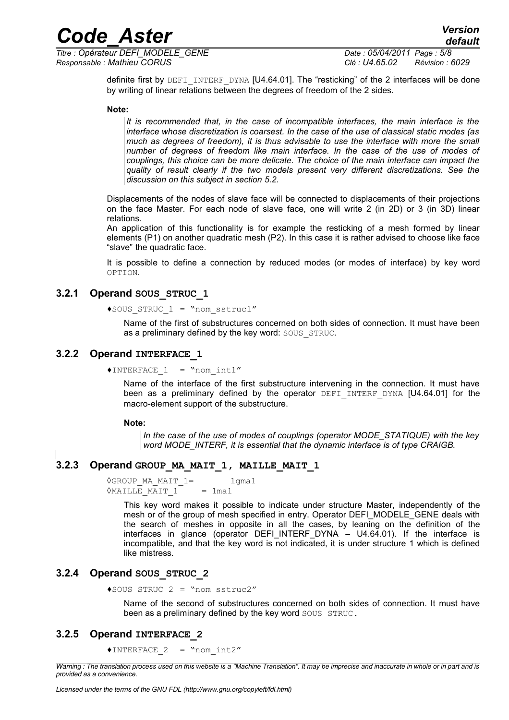*Titre : Opérateur DEFI\_MODELE\_GENE Date : 05/04/2011 Page : 5/8 Responsable : Mathieu CORUS Clé : U4.65.02 Révision : 6029*

definite first by DEFI INTERF DYNA [U4.64.01]. The "resticking" of the 2 interfaces will be done by writing of linear relations between the degrees of freedom of the 2 sides.

#### **Note:**

*It is recommended that, in the case of incompatible interfaces, the main interface is the interface whose discretization is coarsest. In the case of the use of classical static modes (as much as degrees of freedom), it is thus advisable to use the interface with more the small number of degrees of freedom like main interface. In the case of the use of modes of couplings, this choice can be more delicate. The choice of the main interface can impact the quality of result clearly if the two models present very different discretizations. See the discussion on this subject in section [5.2.](#page-6-0)*

Displacements of the nodes of slave face will be connected to displacements of their projections on the face Master. For each node of slave face, one will write 2 (in 2D) or 3 (in 3D) linear relations.

An application of this functionality is for example the resticking of a mesh formed by linear elements (P1) on another quadratic mesh (P2). In this case it is rather advised to choose like face "slave" the quadratic face.

It is possible to define a connection by reduced modes (or modes of interface) by key word OPTION.

#### **3.2.1 Operand SOUS\_STRUC\_1**

```
♦SOUS_STRUC_1 = "nom_sstruc1"
```
Name of the first of substructures concerned on both sides of connection. It must have been as a preliminary defined by the key word: SOUS STRUC.

#### **3.2.2 Operand INTERFACE\_1**

```
\triangleINTERFACE 1 = "nom int1"
```
Name of the interface of the first substructure intervening in the connection. It must have been as a preliminary defined by the operator DEFI INTERF DYNA [U4.64.01] for the macro-element support of the substructure.

#### **Note:**

*In the case of the use of modes of couplings (operator MODE\_STATIQUE) with the key word MODE\_INTERF, it is essential that the dynamic interface is of type CRAIGB.*

#### **3.2.3 Operand GROUP\_MA\_MAIT\_1, MAILLE\_MAIT\_1**

```
◊GROUP_MA_MAIT_1= lgma1
OMAILLE MAIT 1 = lma1
```
This key word makes it possible to indicate under structure Master, independently of the mesh or of the group of mesh specified in entry. Operator DEFI\_MODELE\_GENE deals with the search of meshes in opposite in all the cases, by leaning on the definition of the interfaces in glance (operator DEFI\_INTERF\_DYNA – U4.64.01). If the interface is incompatible, and that the key word is not indicated, it is under structure 1 which is defined like mistress.

#### **3.2.4 Operand SOUS\_STRUC\_2**

<span id="page-4-1"></span>♦SOUS\_STRUC\_2 = "nom\_sstruc2"

Name of the second of substructures concerned on both sides of connection. It must have been as a preliminary defined by the key word SOUS STRUC.

#### **3.2.5 Operand INTERFACE\_2**

<span id="page-4-0"></span>♦INTERFACE\_2 = "nom\_int2"

*Warning : The translation process used on this website is a "Machine Translation". It may be imprecise and inaccurate in whole or in part and is provided as a convenience.*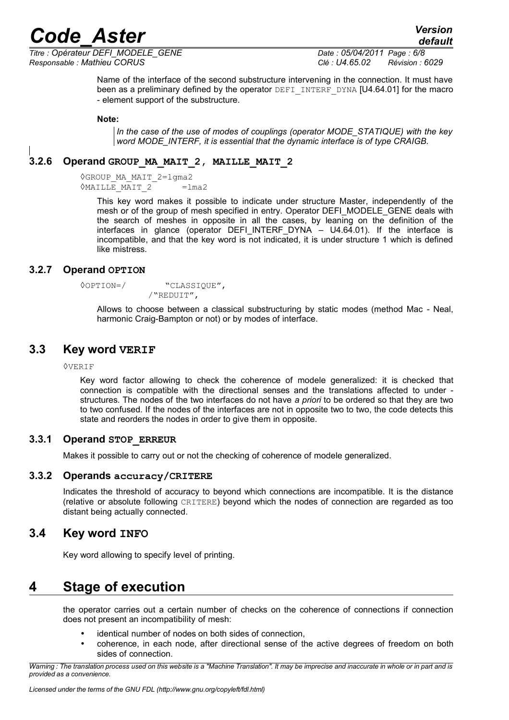*Titre : Opérateur DEFI\_MODELE\_GENE Date : 05/04/2011 Page : 6/8 Responsable : Mathieu CORUS Clé : U4.65.02 Révision : 6029*

*default*

Name of the interface of the second substructure intervening in the connection. It must have been as a preliminary defined by the operator DEFI\_INTERF\_DYNA [U4.64.01] for the macro - element support of the substructure.

#### **Note:**

*In the case of the use of modes of couplings (operator MODE\_STATIQUE) with the key word MODE\_INTERF, it is essential that the dynamic interface is of type CRAIGB.*

#### **3.2.6 Operand GROUP\_MA\_MAIT\_2, MAILLE\_MAIT\_2**

<span id="page-5-6"></span>◊GROUP\_MA\_MAIT\_2=lgma2 ◊MAILLE\_MAIT\_2 =lma2

> This key word makes it possible to indicate under structure Master, independently of the mesh or of the group of mesh specified in entry. Operator DEFI\_MODELE\_GENE deals with the search of meshes in opposite in all the cases, by leaning on the definition of the interfaces in glance (operator DEFI\_INTERF\_DYNA  $-$  U4.64.01). If the interface is incompatible, and that the key word is not indicated, it is under structure 1 which is defined like mistress.

#### **3.2.7 Operand OPTION**

<span id="page-5-5"></span>◊OPTION=/ "CLASSIQUE", /"REDUIT",

Allows to choose between a classical substructuring by static modes (method Mac - Neal, harmonic Craig-Bampton or not) or by modes of interface.

#### **3.3 Key word VERIF**

<span id="page-5-4"></span>◊VERIF

Key word factor allowing to check the coherence of modele generalized: it is checked that connection is compatible with the directional senses and the translations affected to under structures. The nodes of the two interfaces do not have *a priori* to be ordered so that they are two to two confused. If the nodes of the interfaces are not in opposite two to two, the code detects this state and reorders the nodes in order to give them in opposite.

#### **3.3.1 Operand STOP\_ERREUR**

<span id="page-5-3"></span>Makes it possible to carry out or not the checking of coherence of modele generalized.

#### **3.3.2 Operands accuracy/CRITERE**

<span id="page-5-2"></span>Indicates the threshold of accuracy to beyond which connections are incompatible. It is the distance (relative or absolute following CRITERE) beyond which the nodes of connection are regarded as too distant being actually connected.

#### **3.4 Key word INFO**

<span id="page-5-1"></span>Key word allowing to specify level of printing.

## **4 Stage of execution**

<span id="page-5-0"></span>the operator carries out a certain number of checks on the coherence of connections if connection does not present an incompatibility of mesh:

- identical number of nodes on both sides of connection.
- coherence, in each node, after directional sense of the active degrees of freedom on both sides of connection.

*Warning : The translation process used on this website is a "Machine Translation". It may be imprecise and inaccurate in whole or in part and is provided as a convenience.*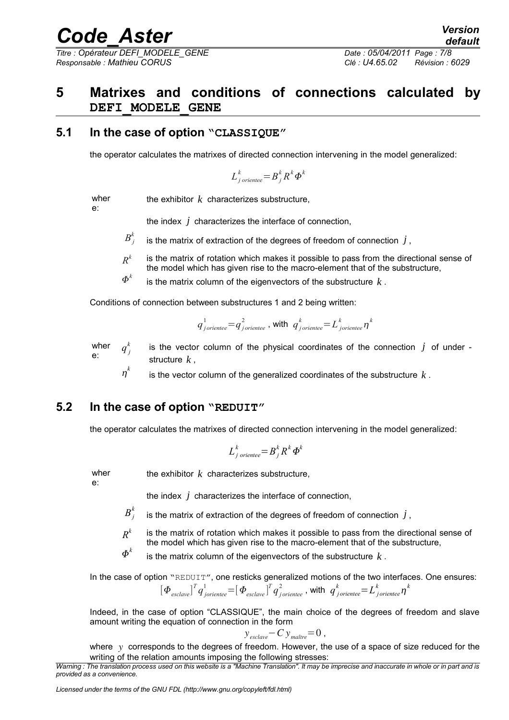*Titre : Opérateur DEFI\_MODELE\_GENE Date : 05/04/2011 Page : 7/8 Responsable : Mathieu CORUS Clé : U4.65.02 Révision : 6029*

# <span id="page-6-2"></span>**5 Matrixes and conditions of connections calculated by DEFI\_MODELE\_GENE**

### **5.1 In the case of option "CLASSIQUE"**

<span id="page-6-1"></span>the operator calculates the matrixes of directed connection intervening in the model generalized:

$$
L_{j\,oriente}^k = B_j^k R^k \Phi^k
$$

wher e:

the exhibitor *k* characterizes substructure,

the index *j* characterizes the interface of connection,

- $B_j^k$ is the matrix of extraction of the degrees of freedom of connection  $j$ ,
- *R k* is the matrix of rotation which makes it possible to pass from the directional sense of the model which has given rise to the macro-element that of the substructure,
- $\boldsymbol{\varPhi}^k$ is the matrix column of the eigenvectors of the substructure *k* .

Conditions of connection between substructures 1 and 2 being written:

$$
q_{\textit{joriente}}^1 = q_{\textit{joriente}}^2
$$
, with 
$$
q_{\textit{joriente}}^k = L_{\textit{joriente}}^k \eta^k
$$

wher e:  $q^{k}$ <sub>j</sub> is the vector column of the physical coordinates of the connection  $j$  of under structure *k* ,

 $\eta^k$ is the vector column of the generalized coordinates of the substructure *k* .

### **5.2 In the case of option "REDUIT"**

<span id="page-6-0"></span>the operator calculates the matrixes of directed connection intervening in the model generalized:

$$
L_{j\,\,oriente e}^k = B_j^k R^k \, \boldsymbol{\Phi}^k
$$

wher

the exhibitor *k* characterizes substructure,

e:

the index *j* characterizes the interface of connection,

 $B_j^k$ is the matrix of extraction of the degrees of freedom of connection  $j$ ,

- *R k* is the matrix of rotation which makes it possible to pass from the directional sense of the model which has given rise to the macro-element that of the substructure,
- $\boldsymbol{\varPhi}^k$ is the matrix column of the eigenvectors of the substructure *k* .

In the case of option "REDUIT", one resticks generalized motions of the two interfaces. One ensures:  $\left[\bm{\Phi}_{\textit{esclaw}}\right]^T q_{\textit{joriente}}^1 = \left[\bm{\Phi}_{\textit{esclaw}}\right]^T q_{\textit{joriente}}^2$  , with  $\ {q}^k_{\textit{joriente}} = L^k_{\textit{joriente}} \eta^k$ 

Indeed, in the case of option "CLASSIQUE", the main choice of the degrees of freedom and slave amount writing the equation of connection in the form

$$
y_{\text{esclave}} - C y_{\text{maître}} = 0,
$$

where y corresponds to the degrees of freedom. However, the use of a space of size reduced for the writing of the relation amounts imposing the following stresses:

*Licensed under the terms of the GNU FDL (http://www.gnu.org/copyleft/fdl.html)*

*Warning : The translation process used on this website is a "Machine Translation". It may be imprecise and inaccurate in whole or in part and is provided as a convenience.*